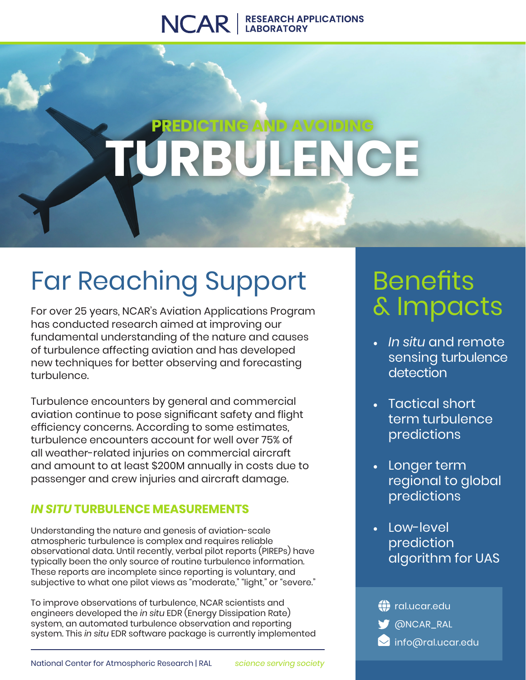### NCAR | RESEARCH APPLICATIONS

# **G AND AVO TURBULENCE**

# Far Reaching Support

For over 25 years, NCAR's Aviation Applications Program has conducted research aimed at improving our fundamental understanding of the nature and causes of turbulence affecting aviation and has developed new techniques for better observing and forecasting turbulence.

Turbulence encounters by general and commercial aviation continue to pose significant safety and flight efficiency concerns. According to some estimates, turbulence encounters account for well over 75% of all weather-related injuries on commercial aircraft and amount to at least \$200M annually in costs due to passenger and crew injuries and aircraft damage.

### *IN SITU* **TURBULENCE MEASUREMENTS**

Understanding the nature and genesis of aviation-scale atmospheric turbulence is complex and requires reliable observational data. Until recently, verbal pilot reports (PIREPs) have typically been the only source of routine turbulence information. These reports are incomplete since reporting is voluntary, and subjective to what one pilot views as "moderate," "light," or "severe."

To improve observations of turbulence, NCAR scientists and engineers developed the *in situ* EDR (Energy Dissipation Rate) system, an automated turbulence observation and reporting system. This *in situ* EDR software package is currently implemented

## **Benefits** & Impacts

- *• In situ* and remote sensing turbulence detection
- Tactical short term turbulence predictions
- Longer term regional to global predictions
- Low-level prediction algorithm for UAS

**W** @NCAR\_RAL **(1)** ral.ucar.edu **info@ral.ucar.edu**